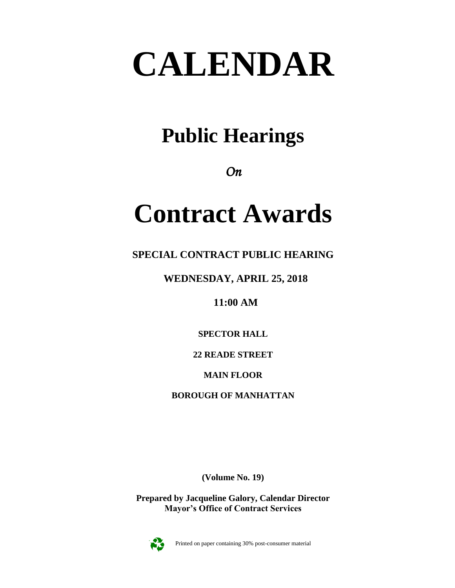# **CALENDAR**

### **Public Hearings**

*On* 

## **Contract Awards**

**SPECIAL CONTRACT PUBLIC HEARING**

**WEDNESDAY, APRIL 25, 2018**

**11:00 AM**

**SPECTOR HALL**

**22 READE STREET**

**MAIN FLOOR**

**BOROUGH OF MANHATTAN**

**(Volume No. 19)**

**Prepared by Jacqueline Galory, Calendar Director Mayor's Office of Contract Services**



Printed on paper containing 30% post-consumer material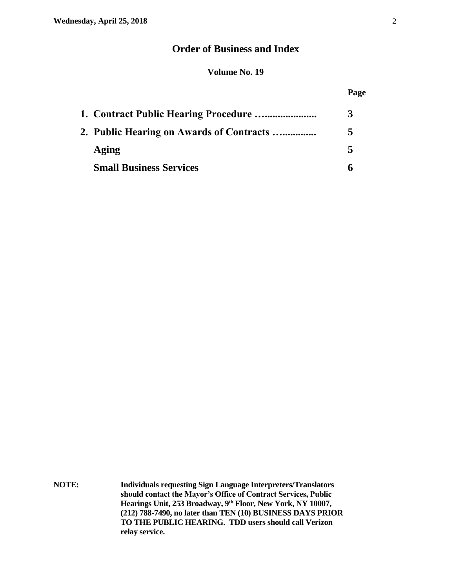#### **Order of Business and Index**

#### **Volume No. 19**

#### **Page**

| 1. Contract Public Hearing Procedure     |  |
|------------------------------------------|--|
| 2. Public Hearing on Awards of Contracts |  |
| Aging                                    |  |
| <b>Small Business Services</b>           |  |

**NOTE: Individuals requesting Sign Language Interpreters/Translators should contact the Mayor's Office of Contract Services, Public Hearings Unit, 253 Broadway, 9th Floor, New York, NY 10007, (212) 788-7490, no later than TEN (10) BUSINESS DAYS PRIOR TO THE PUBLIC HEARING. TDD users should call Verizon relay service.**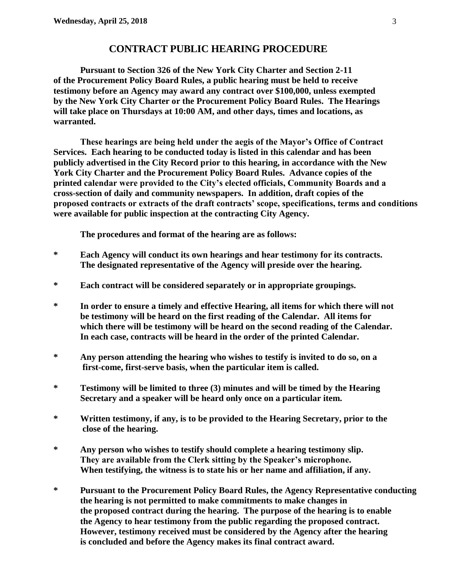#### **CONTRACT PUBLIC HEARING PROCEDURE**

**Pursuant to Section 326 of the New York City Charter and Section 2-11 of the Procurement Policy Board Rules, a public hearing must be held to receive testimony before an Agency may award any contract over \$100,000, unless exempted by the New York City Charter or the Procurement Policy Board Rules. The Hearings will take place on Thursdays at 10:00 AM, and other days, times and locations, as warranted.**

**These hearings are being held under the aegis of the Mayor's Office of Contract Services. Each hearing to be conducted today is listed in this calendar and has been publicly advertised in the City Record prior to this hearing, in accordance with the New York City Charter and the Procurement Policy Board Rules. Advance copies of the printed calendar were provided to the City's elected officials, Community Boards and a cross-section of daily and community newspapers. In addition, draft copies of the proposed contracts or extracts of the draft contracts' scope, specifications, terms and conditions were available for public inspection at the contracting City Agency.**

**The procedures and format of the hearing are as follows:**

- **\* Each Agency will conduct its own hearings and hear testimony for its contracts. The designated representative of the Agency will preside over the hearing.**
- **\* Each contract will be considered separately or in appropriate groupings.**
- **\* In order to ensure a timely and effective Hearing, all items for which there will not be testimony will be heard on the first reading of the Calendar. All items for which there will be testimony will be heard on the second reading of the Calendar. In each case, contracts will be heard in the order of the printed Calendar.**
- **\* Any person attending the hearing who wishes to testify is invited to do so, on a first-come, first-serve basis, when the particular item is called.**
- **\* Testimony will be limited to three (3) minutes and will be timed by the Hearing Secretary and a speaker will be heard only once on a particular item.**
- **\* Written testimony, if any, is to be provided to the Hearing Secretary, prior to the close of the hearing.**
- **\* Any person who wishes to testify should complete a hearing testimony slip. They are available from the Clerk sitting by the Speaker's microphone. When testifying, the witness is to state his or her name and affiliation, if any.**
- **\* Pursuant to the Procurement Policy Board Rules, the Agency Representative conducting the hearing is not permitted to make commitments to make changes in the proposed contract during the hearing. The purpose of the hearing is to enable the Agency to hear testimony from the public regarding the proposed contract. However, testimony received must be considered by the Agency after the hearing is concluded and before the Agency makes its final contract award.**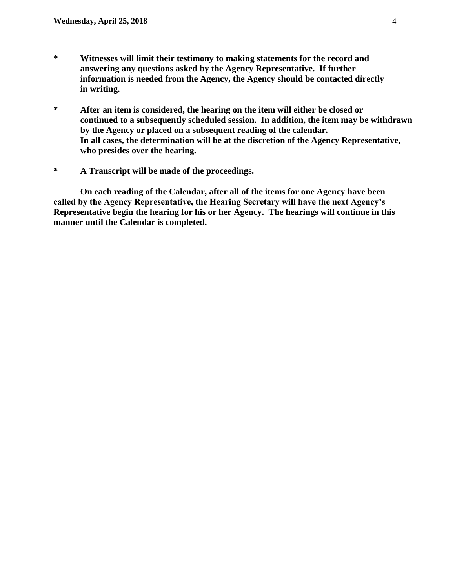- **\* Witnesses will limit their testimony to making statements for the record and answering any questions asked by the Agency Representative. If further information is needed from the Agency, the Agency should be contacted directly in writing.**
- **\* After an item is considered, the hearing on the item will either be closed or continued to a subsequently scheduled session. In addition, the item may be withdrawn by the Agency or placed on a subsequent reading of the calendar. In all cases, the determination will be at the discretion of the Agency Representative, who presides over the hearing.**
- **\* A Transcript will be made of the proceedings.**

**On each reading of the Calendar, after all of the items for one Agency have been called by the Agency Representative, the Hearing Secretary will have the next Agency's Representative begin the hearing for his or her Agency. The hearings will continue in this manner until the Calendar is completed.**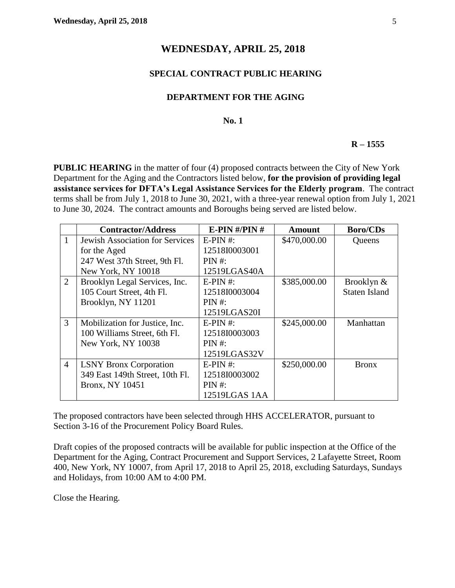#### **WEDNESDAY, APRIL 25, 2018**

#### **SPECIAL CONTRACT PUBLIC HEARING**

#### **DEPARTMENT FOR THE AGING**

#### **No. 1**

#### **R – 1555**

**PUBLIC HEARING** in the matter of four (4) proposed contracts between the City of New York Department for the Aging and the Contractors listed below, **for the provision of providing legal assistance services for DFTA's Legal Assistance Services for the Elderly program**. The contract terms shall be from July 1, 2018 to June 30, 2021, with a three-year renewal option from July 1, 2021 to June 30, 2024. The contract amounts and Boroughs being served are listed below.

|                | <b>Contractor/Address</b>              | E-PIN $\#$ /PIN $\#$ | <b>Amount</b> | <b>Boro/CDs</b>      |
|----------------|----------------------------------------|----------------------|---------------|----------------------|
| $\mathbf{1}$   | <b>Jewish Association for Services</b> | $E-PIN \#$ :         | \$470,000.00  | Queens               |
|                | for the Aged                           | 12518I0003001        |               |                      |
|                | 247 West 37th Street, 9th Fl.          | PIN #:               |               |                      |
|                | New York, NY 10018                     | 12519LGAS40A         |               |                      |
| $\overline{2}$ | Brooklyn Legal Services, Inc.          | $E-PIN \#$           | \$385,000.00  | Brooklyn &           |
|                | 105 Court Street, 4th Fl.              | 12518I0003004        |               | <b>Staten Island</b> |
|                | Brooklyn, NY 11201                     | PIN #:               |               |                      |
|                |                                        | 12519LGAS20I         |               |                      |
| $\overline{3}$ | Mobilization for Justice, Inc.         | $E-PIN \#$ :         | \$245,000.00  | Manhattan            |
|                | 100 Williams Street, 6th Fl.           | 12518I0003003        |               |                      |
|                | New York, NY 10038                     | PIN #:               |               |                      |
|                |                                        | 12519LGAS32V         |               |                      |
| $\overline{4}$ | <b>LSNY Bronx Corporation</b>          | $E-PIN \#$           | \$250,000.00  | <b>Bronx</b>         |
|                | 349 East 149th Street, 10th Fl.        | 12518I0003002        |               |                      |
|                | <b>Bronx, NY 10451</b>                 | PIN #:               |               |                      |
|                |                                        | 12519LGAS 1AA        |               |                      |

The proposed contractors have been selected through HHS ACCELERATOR, pursuant to Section 3-16 of the Procurement Policy Board Rules.

Draft copies of the proposed contracts will be available for public inspection at the Office of the Department for the Aging, Contract Procurement and Support Services, 2 Lafayette Street, Room 400, New York, NY 10007, from April 17, 2018 to April 25, 2018, excluding Saturdays, Sundays and Holidays, from 10:00 AM to 4:00 PM.

Close the Hearing.